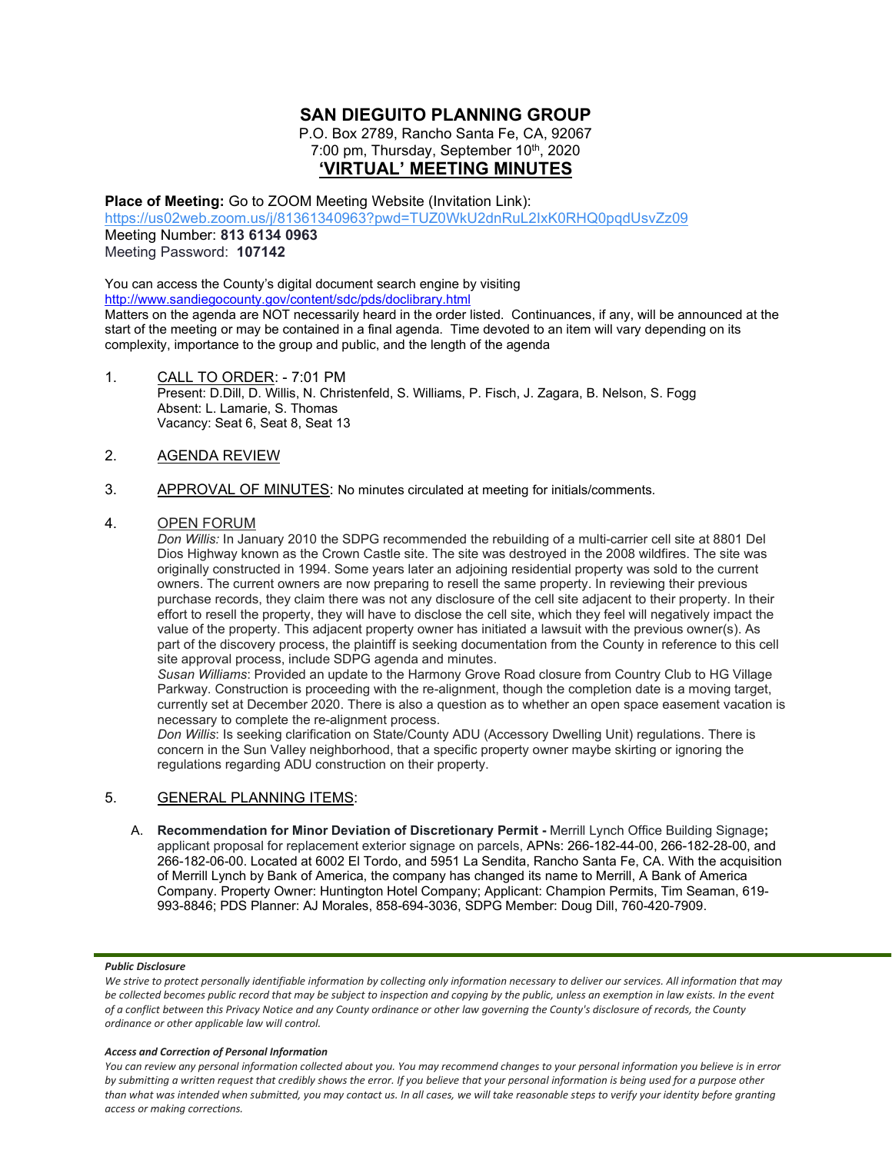# **SAN DIEGUITO PLANNING GROUP**

P.O. Box 2789, Rancho Santa Fe, CA, 92067 7:00 pm, Thursday, September 10<sup>th</sup>, 2020 **'VIRTUAL' MEETING MINUTES**

**Place of Meeting:** Go to ZOOM Meeting Website (Invitation Link):

<https://us02web.zoom.us/j/81361340963?pwd=TUZ0WkU2dnRuL2IxK0RHQ0pqdUsvZz09> Meeting Number: **813 6134 0963** Meeting Password: **107142**

You can access the County's digital document search engine by visiting <http://www.sandiegocounty.gov/content/sdc/pds/doclibrary.html> Matters on the agenda are NOT necessarily heard in the order listed. Continuances, if any, will be announced at the start of the meeting or may be contained in a final agenda. Time devoted to an item will vary depending on its complexity, importance to the group and public, and the length of the agenda

1. CALL TO ORDER: - 7:01 PM Present: D.Dill, D. Willis, N. Christenfeld, S. Williams, P. Fisch, J. Zagara, B. Nelson, S. Fogg Absent: L. Lamarie, S. Thomas Vacancy: Seat 6, Seat 8, Seat 13

## 2. AGENDA REVIEW

3. APPROVAL OF MINUTES: No minutes circulated at meeting for initials/comments.

### 4. OPEN FORUM

*Don Willis:* In January 2010 the SDPG recommended the rebuilding of a multi-carrier cell site at 8801 Del Dios Highway known as the Crown Castle site. The site was destroyed in the 2008 wildfires. The site was originally constructed in 1994. Some years later an adjoining residential property was sold to the current owners. The current owners are now preparing to resell the same property. In reviewing their previous purchase records, they claim there was not any disclosure of the cell site adjacent to their property. In their effort to resell the property, they will have to disclose the cell site, which they feel will negatively impact the value of the property. This adjacent property owner has initiated a lawsuit with the previous owner(s). As part of the discovery process, the plaintiff is seeking documentation from the County in reference to this cell site approval process, include SDPG agenda and minutes.

*Susan Williams*: Provided an update to the Harmony Grove Road closure from Country Club to HG Village Parkway. Construction is proceeding with the re-alignment, though the completion date is a moving target, currently set at December 2020. There is also a question as to whether an open space easement vacation is necessary to complete the re-alignment process.

*Don Willis*: Is seeking clarification on State/County ADU (Accessory Dwelling Unit) regulations. There is concern in the Sun Valley neighborhood, that a specific property owner maybe skirting or ignoring the regulations regarding ADU construction on their property.

### 5. GENERAL PLANNING ITEMS:

A. **Recommendation for Minor Deviation of Discretionary Permit -** Merrill Lynch Office Building Signage**;** applicant proposal for replacement exterior signage on parcels, APNs: 266-182-44-00, 266-182-28-00, and 266-182-06-00. Located at 6002 El Tordo, and 5951 La Sendita, Rancho Santa Fe, CA. With the acquisition of Merrill Lynch by Bank of America, the company has changed its name to Merrill, A Bank of America Company. Property Owner: Huntington Hotel Company; Applicant: Champion Permits, Tim Seaman, 619- 993-8846; PDS Planner: AJ Morales, 858-694-3036, SDPG Member: Doug Dill, 760-420-7909.

#### *Public Disclosure*

#### *Access and Correction of Personal Information*

*You can review any personal information collected about you. You may recommend changes to your personal information you believe is in error by submitting a written request that credibly shows the error. If you believe that your personal information is being used for a purpose other than what was intended when submitted, you may contact us. In all cases, we will take reasonable steps to verify your identity before granting access or making corrections.*

We strive to protect personally identifiable information by collecting only information necessary to deliver our services. All information that may *be collected becomes public record that may be subject to inspection and copying by the public, unless an exemption in law exists. In the event of a conflict between this Privacy Notice and any County ordinance or other law governing the County's disclosure of records, the County ordinance or other applicable law will control.*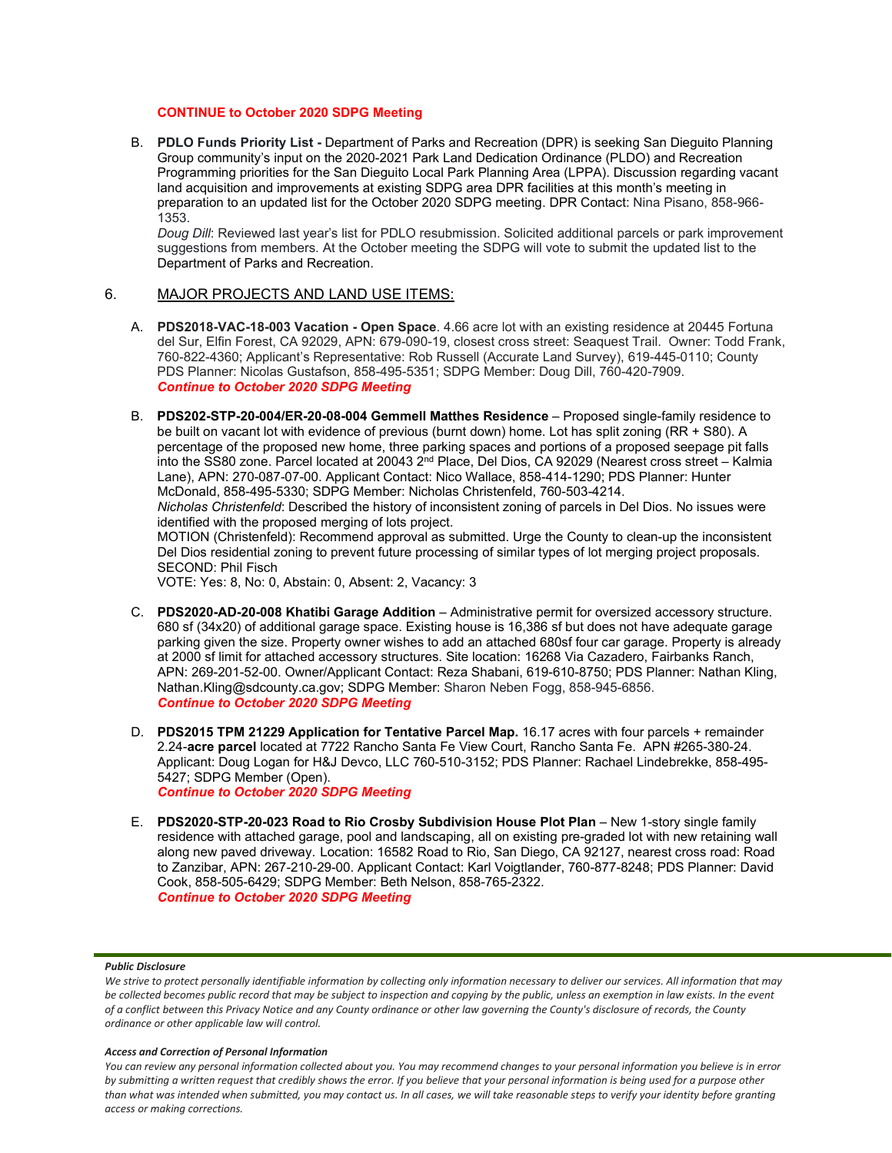### **CONTINUE to October 2020 SDPG Meeting**

B. **PDLO Funds Priority List -** Department of Parks and Recreation (DPR) is seeking San Dieguito Planning Group community's input on the 2020-2021 Park Land Dedication Ordinance (PLDO) and Recreation Programming priorities for the San Dieguito Local Park Planning Area (LPPA). Discussion regarding vacant land acquisition and improvements at existing SDPG area DPR facilities at this month's meeting in preparation to an updated list for the October 2020 SDPG meeting. DPR Contact: Nina Pisano, 858-966- 1353.

*Doug Dill*: Reviewed last year's list for PDLO resubmission. Solicited additional parcels or park improvement suggestions from members. At the October meeting the SDPG will vote to submit the updated list to the Department of Parks and Recreation.

### 6. MAJOR PROJECTS AND LAND USE ITEMS:

- A. **PDS2018-VAC-18-003 Vacation - Open Space**. 4.66 acre lot with an existing residence at 20445 Fortuna del Sur, Elfin Forest, CA 92029, APN: 679-090-19, closest cross street: Seaquest Trail. Owner: Todd Frank, 760-822-4360; Applicant's Representative: Rob Russell (Accurate Land Survey), 619-445-0110; County PDS Planner: Nicolas Gustafson, 858-495-5351; SDPG Member: Doug Dill, 760-420-7909. *Continue to October 2020 SDPG Meeting*
- B. **PDS202-STP-20-004/ER-20-08-004 Gemmell Matthes Residence** Proposed single-family residence to be built on vacant lot with evidence of previous (burnt down) home. Lot has split zoning (RR + S80). A percentage of the proposed new home, three parking spaces and portions of a proposed seepage pit falls into the SS80 zone. Parcel located at 20043 2<sup>nd</sup> Place, Del Dios, CA 92029 (Nearest cross street – Kalmia Lane), APN: 270-087-07-00. Applicant Contact: Nico Wallace, 858-414-1290; PDS Planner: Hunter McDonald, 858-495-5330; SDPG Member: Nicholas Christenfeld, 760-503-4214.

*Nicholas Christenfeld*: Described the history of inconsistent zoning of parcels in Del Dios. No issues were identified with the proposed merging of lots project.

MOTION (Christenfeld): Recommend approval as submitted. Urge the County to clean-up the inconsistent Del Dios residential zoning to prevent future processing of similar types of lot merging project proposals. SECOND: Phil Fisch

VOTE: Yes: 8, No: 0, Abstain: 0, Absent: 2, Vacancy: 3

- C. **PDS2020-AD-20-008 Khatibi Garage Addition** Administrative permit for oversized accessory structure. 680 sf (34x20) of additional garage space. Existing house is 16,386 sf but does not have adequate garage parking given the size. Property owner wishes to add an attached 680sf four car garage. Property is already at 2000 sf limit for attached accessory structures. Site location: 16268 Via Cazadero, Fairbanks Ranch, APN: 269-201-52-00. Owner/Applicant Contact: Reza Shabani, 619-610-8750; PDS Planner: Nathan Kling, Nathan.Kling@sdcounty.ca.gov; SDPG Member: Sharon Neben Fogg, 858-945-6856. *Continue to October 2020 SDPG Meeting*
- D. **PDS2015 TPM 21229 Application for Tentative Parcel Map.** 16.17 acres with four parcels + remainder 2.24-**acre parcel** located at 7722 Rancho Santa Fe View Court, Rancho Santa Fe. APN #265-380-24. Applicant: Doug Logan for H&J Devco, LLC 760-510-3152; PDS Planner: Rachael Lindebrekke, 858-495- 5427; SDPG Member (Open). *Continue to October 2020 SDPG Meeting*
- E. **PDS2020-STP-20-023 Road to Rio Crosby Subdivision House Plot Plan** New 1-story single family residence with attached garage, pool and landscaping, all on existing pre-graded lot with new retaining wall along new paved driveway. Location: 16582 Road to Rio, San Diego, CA 92127, nearest cross road: Road to Zanzibar, APN: 267-210-29-00. Applicant Contact: Karl Voigtlander, 760-877-8248; PDS Planner: David Cook, 858-505-6429; SDPG Member: Beth Nelson, 858-765-2322. *Continue to October 2020 SDPG Meeting*

#### *Public Disclosure*

#### *Access and Correction of Personal Information*

*You can review any personal information collected about you. You may recommend changes to your personal information you believe is in error by submitting a written request that credibly shows the error. If you believe that your personal information is being used for a purpose other than what was intended when submitted, you may contact us. In all cases, we will take reasonable steps to verify your identity before granting access or making corrections.*

We strive to protect personally identifiable information by collecting only information necessary to deliver our services. All information that may *be collected becomes public record that may be subject to inspection and copying by the public, unless an exemption in law exists. In the event of a conflict between this Privacy Notice and any County ordinance or other law governing the County's disclosure of records, the County ordinance or other applicable law will control.*